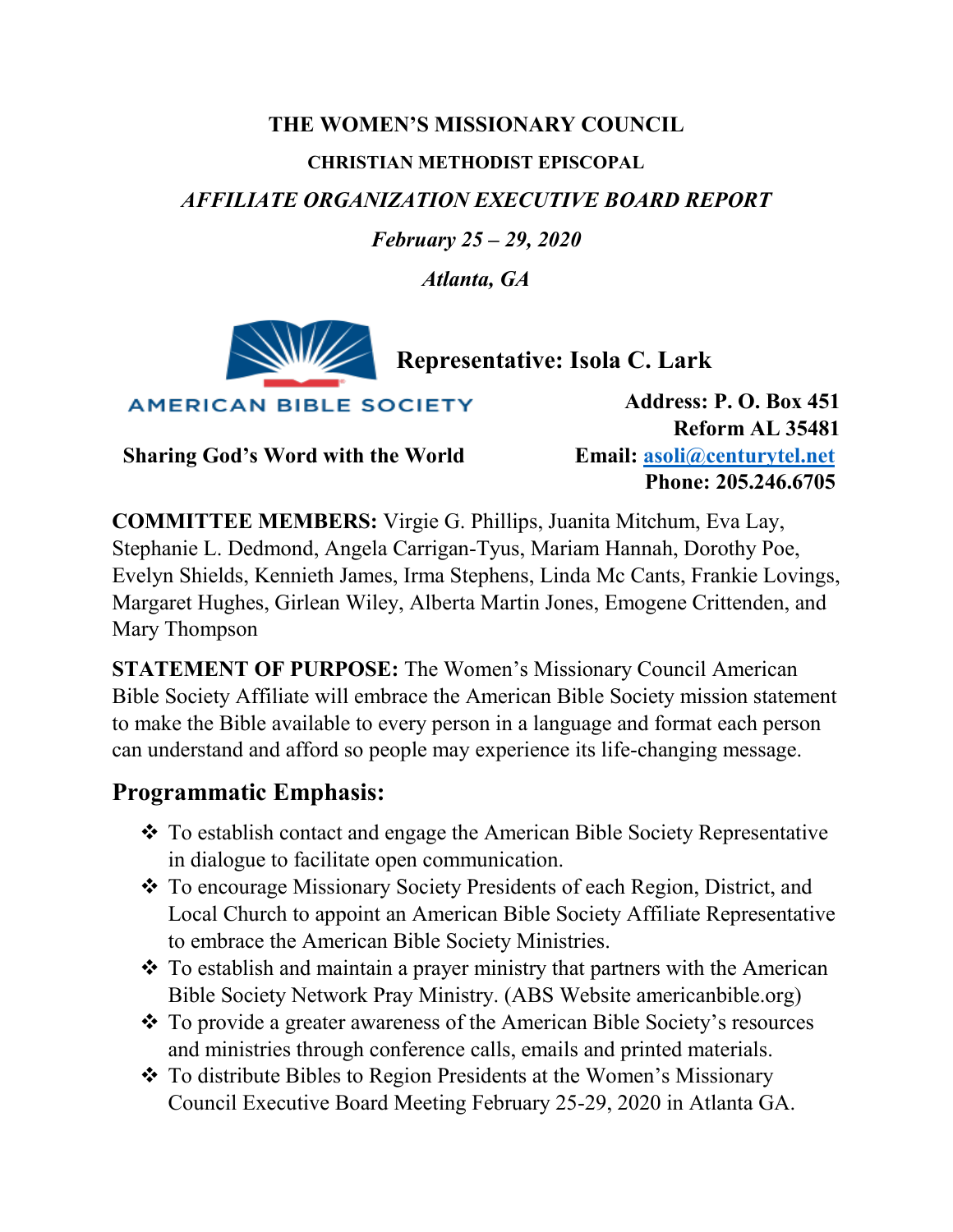# **THE WOMEN'S MISSIONARY COUNCIL CHRISTIAN METHODIST EPISCOPAL** *AFFILIATE ORGANIZATION EXECUTIVE BOARD REPORT*

*February 25 – 29, 2020*

*Atlanta, GA*



 **Representative: Isola C. Lark**

**AMERICAN BIBLE SOCIETY** 

 **Sharing God's Word with the World Email: [asoli@centurytel.net](mailto:asoli@centurytel.net)**

**Address: P. O. Box 451 Reform AL 35481 Phone: 205.246.6705**

**COMMITTEE MEMBERS:** Virgie G. Phillips, Juanita Mitchum, Eva Lay, Stephanie L. Dedmond, Angela Carrigan-Tyus, Mariam Hannah, Dorothy Poe, Evelyn Shields, Kennieth James, Irma Stephens, Linda Mc Cants, Frankie Lovings, Margaret Hughes, Girlean Wiley, Alberta Martin Jones, Emogene Crittenden, and Mary Thompson

**STATEMENT OF PURPOSE:** The Women's Missionary Council American Bible Society Affiliate will embrace the American Bible Society mission statement to make the Bible available to every person in a language and format each person can understand and afford so people may experience its life-changing message.

# **Programmatic Emphasis:**

- \* To establish contact and engage the American Bible Society Representative in dialogue to facilitate open communication.
- To encourage Missionary Society Presidents of each Region, District, and Local Church to appoint an American Bible Society Affiliate Representative to embrace the American Bible Society Ministries.
- \* To establish and maintain a prayer ministry that partners with the American Bible Society Network Pray Ministry. (ABS Website americanbible.org)
- To provide a greater awareness of the American Bible Society's resources and ministries through conference calls, emails and printed materials.
- To distribute Bibles to Region Presidents at the Women's Missionary Council Executive Board Meeting February 25-29, 2020 in Atlanta GA.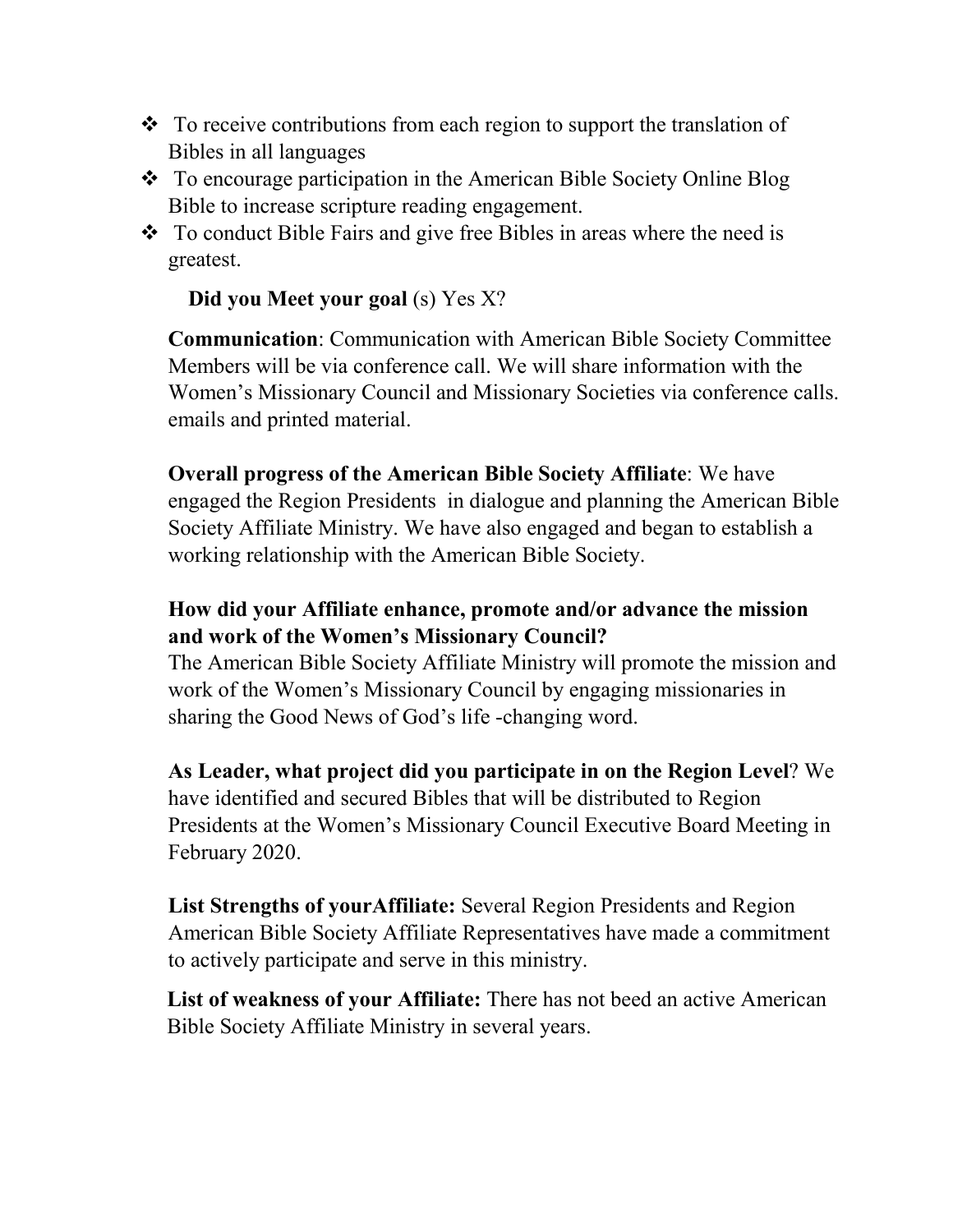- $\cdot \cdot$  To receive contributions from each region to support the translation of Bibles in all languages
- ◆ To encourage participation in the American Bible Society Online Blog Bible to increase scripture reading engagement.
- ◆ To conduct Bible Fairs and give free Bibles in areas where the need is greatest.

### **Did you Meet your goal** (s) Yes X?

**Communication**: Communication with American Bible Society Committee Members will be via conference call. We will share information with the Women's Missionary Council and Missionary Societies via conference calls. emails and printed material.

**Overall progress of the American Bible Society Affiliate**: We have engaged the Region Presidents in dialogue and planning the American Bible Society Affiliate Ministry. We have also engaged and began to establish a working relationship with the American Bible Society.

## **How did your Affiliate enhance, promote and/or advance the mission and work of the Women's Missionary Council?**

The American Bible Society Affiliate Ministry will promote the mission and work of the Women's Missionary Council by engaging missionaries in sharing the Good News of God's life -changing word.

**As Leader, what project did you participate in on the Region Level**? We have identified and secured Bibles that will be distributed to Region Presidents at the Women's Missionary Council Executive Board Meeting in February 2020.

**List Strengths of yourAffiliate:** Several Region Presidents and Region American Bible Society Affiliate Representatives have made a commitment to actively participate and serve in this ministry.

**List of weakness of your Affiliate:** There has not beed an active American Bible Society Affiliate Ministry in several years.